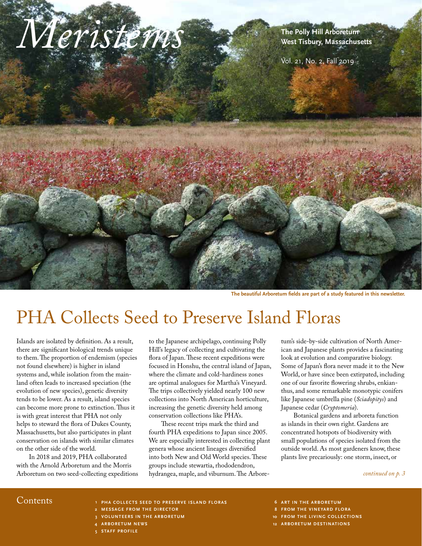

**The beautiful Arboretum fields are part of a study featured in this newsletter.**

## PHA Collects Seed to Preserve Island Floras

Islands are isolated by definition. As a result, there are significant biological trends unique to them. The proportion of endemism (species not found elsewhere) is higher in island systems and, while isolation from the mainland often leads to increased speciation (the evolution of new species), genetic diversity tends to be lower. As a result, island species can become more prone to extinction. Thus it is with great interest that PHA not only helps to steward the flora of Dukes County, Massachusetts, but also participates in plant conservation on islands with similar climates on the other side of the world.

In 2018 and 2019, PHA collaborated with the Arnold Arboretum and the Morris Arboretum on two seed-collecting expeditions to the Japanese archipelago, continuing Polly Hill's legacy of collecting and cultivating the flora of Japan. These recent expeditions were focused in Honshu, the central island of Japan, where the climate and cold-hardiness zones are optimal analogues for Martha's Vineyard. The trips collectively yielded nearly 100 new collections into North American horticulture, increasing the genetic diversity held among conservation collections like PHA's.

These recent trips mark the third and fourth PHA expeditions to Japan since 2005. We are especially interested in collecting plant genera whose ancient lineages diversified into both New and Old World species. These groups include stewartia, rhododendron, hydrangea, maple, and viburnum. The Arbore-

tum's side-by-side cultivation of North American and Japanese plants provides a fascinating look at evolution and comparative biology. Some of Japan's flora never made it to the New World, or have since been extirpated, including one of our favorite flowering shrubs, enkianthus, and some remarkable monotypic conifers like Japanese umbrella pine (*Sciadopitys*) and Japanese cedar (*Cryptomeria*).

Botanical gardens and arboreta function as islands in their own right. Gardens are concentrated hotspots of biodiversity with small populations of species isolated from the outside world. As most gardeners know, these plants live precariously: one storm, insect, or

#### *continued on p. 3*

- Contents **PHA COLLECTS SEED TO PRESERVE ISLAND FLORAS 1**
	- **MESSAGE FROM THE DIRECTOR 2**
	- **VOLUNTEERS IN THE ARBORETUM 3**
	- **ARBORETUM NEWS 4**
	- **STAFF PROFILE 5**
- **ART IN THE ARBORETUM 6**
- **FROM THE VINEYARD FLORA 8**
- **FROM THE LIVING COLLECTIONS 10**
- **ARBORETUM DESTINATIONS 12**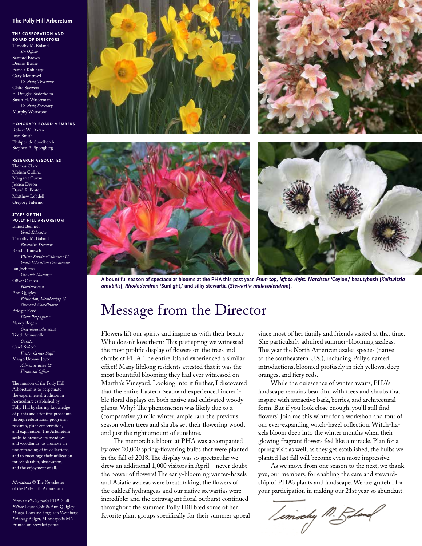#### **The Polly Hill Arboretum**

**THE CORPORATION AND BOARD OF DIRECTORS** Timothy M. Boland *Ex Officio* Sanford Brown Dennis Bushe Pamela Kohlberg Gary Montrowl *Co-chair, Treasurer* Claire Sawyers E. Douglas Sederholm Susan H. Wasserman *Co-chair, Secretary* Murphy Westwood

**HONORARY BOARD MEMBERS** Robert W. Doran Joan Smith Philippe de Spoelberch Stephen A. Spongberg

**RESEARCH ASSOCIATES** Thomas Clark Melissa Cullina Margaret Curtin Jessica Dyson David R. Foster Matthew Lobdell Gregory Palermo

**STAFF OF THE POLLY HILL ARBORETUM** Elliott Bennett *Youth Educ* Timothy M. Boland *Executive Director* Kendra Buresch *Visitor Services/Volunteer & Youth Education Coordinator* Ian Jochems *Grounds Manager* Oliver Osnoss *Horticulturist* Ann Quigley *Education, Membership & Outreach Coordinator* Bridget Reed *Plant Propagator* Nancy Rogers  *Greenhouse Assistant* Todd Rounsaville  *Curator* Carol Swiech  *Visitor Center Staff* Margo Urbany-Joyce  *Administrative & Financial Officer*

The mission of the Polly Hill Arboretum is to perpetuate the experimental tradition in horticulture established by Polly Hill by sharing knowledge of plants and scientific procedure through educational programs, research, plant conservation, and exploration. The Arboretum seeks to preserve its meadows and woodlands, to promote an understanding of its collections, and to encourage their utilization for scholarship, observation, and the enjoyment of all.

*Meristems* © The Newsletter of the Polly Hill Arboretum

*News & Photography* PHA Staff *Editor* Laura Coit & Ann Quigley *Design* Lorraine Ferguson Weinberg *Printing* Bolger, Minneapolis MN Printed on recycled paper.



**A bountiful season of spectacular blooms at the PHA this past year.** *From top, left to right: Narcissus* **'Ceylon,' beautybush (***Kolkwitzia amabilis***),** *Rhododendron* **'Sunlight,' and silky stewartia (***Stewartia malacodendron***).**

### Message from the Director

Flowers lift our spirits and inspire us with their beauty. Who doesn't love them? This past spring we witnessed the most prolific display of flowers on the trees and shrubs at PHA. The entire Island experienced a similar effect! Many lifelong residents attested that it was the most bountiful blooming they had ever witnessed on Martha's Vineyard. Looking into it further, I discovered that the entire Eastern Seaboard experienced incredible floral displays on both native and cultivated woody plants. Why? The phenomenon was likely due to a (comparatively) mild winter, ample rain the previous season when trees and shrubs set their flowering wood, and just the right amount of sunshine.

The memorable bloom at PHA was accompanied by over 20,000 spring-flowering bulbs that were planted in the fall of 2018. The display was so spectacular we drew an additional 1,000 visitors in April—never doubt the power of flowers! The early-blooming winter-hazels and Asiatic azaleas were breathtaking; the flowers of the oakleaf hydrangeas and our native stewartias were incredible; and the extravagant floral outburst continued throughout the summer. Polly Hill bred some of her favorite plant groups specifically for their summer appeal since most of her family and friends visited at that time. She particularly admired summer-blooming azaleas. This year the North American azalea species (native to the southeastern U.S.), including Polly's named introductions, bloomed profusely in rich yellows, deep oranges, and fiery reds.

While the quiescence of winter awaits, PHA's landscape remains beautiful with trees and shrubs that inspire with attractive bark, berries, and architectural form. But if you look close enough, you'll still find flowers! Join me this winter for a workshop and tour of our ever-expanding witch-hazel collection. Witch-hazels bloom deep into the winter months when their glowing fragrant flowers feel like a miracle. Plan for a spring visit as well; as they get established, the bulbs we planted last fall will become even more impressive.

As we move from one season to the next, we thank you, our members, for enabling the care and stewardship of PHA's plants and landscape. We are grateful for your participation in making our 21st year so abundant!

/ emochy M. Rolen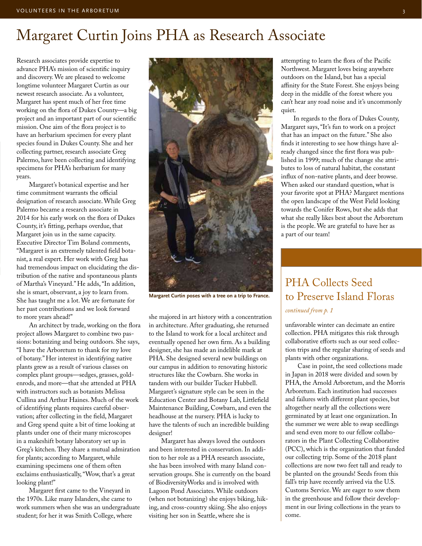### Margaret Curtin Joins PHA as Research Associate

Research associates provide expertise to advance PHA's mission of scientific inquiry and discovery. We are pleased to welcome longtime volunteer Margaret Curtin as our newest research associate. As a volunteer, Margaret has spent much of her free time working on the flora of Dukes County—a big project and an important part of our scientific mission. One aim of the flora project is to have an herbarium specimen for every plant species found in Dukes County. She and her collecting partner, research associate Greg Palermo, have been collecting and identifying specimens for PHA's herbarium for many years.

Margaret's botanical expertise and her time commitment warrants the official designation of research associate. While Greg Palermo became a research associate in 2014 for his early work on the flora of Dukes County, it's fitting, perhaps overdue, that Margaret join us in the same capacity. Executive Director Tim Boland comments, "Margaret is an extremely talented field botanist, a real expert. Her work with Greg has had tremendous impact on elucidating the distribution of the native and spontaneous plants of Martha's Vineyard." He adds, "In addition, she is smart, observant, a joy to learn from. She has taught me a lot. We are fortunate for her past contributions and we look forward to more years ahead!"

An architect by trade, working on the flora project allows Margaret to combine two passions: botanizing and being outdoors. She says, "I have the Arboretum to thank for my love of botany." Her interest in identifying native plants grew as a result of various classes on complex plant groups—sedges, grasses, goldenrods, and more—that she attended at PHA with instructors such as botanists Melissa Cullina and Arthur Haines. Much of the work of identifying plants requires careful observation; after collecting in the field, Margaret and Greg spend quite a bit of time looking at plants under one of their many microscopes in a makeshift botany laboratory set up in Greg's kitchen. They share a mutual admiration for plants; according to Margaret, while examining specimens one of them often exclaims enthusiastically, "Wow, that's a great looking plant!"

Margaret first came to the Vineyard in the 1970s. Like many Islanders, she came to work summers when she was an undergraduate student; for her it was Smith College, where



**Margaret Curtin poses with a tree on a trip to France.** 

she majored in art history with a concentration in architecture. After graduating, she returned to the Island to work for a local architect and eventually opened her own firm. As a building designer, she has made an indelible mark at PHA. She designed several new buildings on our campus in addition to renovating historic structures like the Cowbarn. She works in tandem with our builder Tucker Hubbell. Margaret's signature style can be seen in the Education Center and Botany Lab, Littlefield Maintenance Building, Cowbarn, and even the headhouse at the nursery. PHA is lucky to have the talents of such an incredible building designer!

Margaret has always loved the outdoors and been interested in conservation. In addition to her role as a PHA research associate, she has been involved with many Island conservation groups. She is currently on the board of BiodiversityWorks and is involved with Lagoon Pond Associates. While outdoors (when not botanizing) she enjoys biking, hiking, and cross-country skiing. She also enjoys visiting her son in Seattle, where she is

attempting to learn the flora of the Pacific Northwest. Margaret loves being anywhere outdoors on the Island, but has a special affinity for the State Forest. She enjoys being deep in the middle of the forest where you can't hear any road noise and it's uncommonly quiet.

In regards to the flora of Dukes County, Margaret says, "It's fun to work on a project that has an impact on the future." She also finds it interesting to see how things have already changed since the first flora was published in 1999; much of the change she attributes to loss of natural habitat, the constant influx of non-native plants, and deer browse. When asked our standard question, what is your favorite spot at PHA? Margaret mentions the open landscape of the West Field looking towards the Conifer Rows, but she adds that what she really likes best about the Arboretum is the people. We are grateful to have her as a part of our team!

### PHA Collects Seed to Preserve Island Floras

#### *continued from p. 1*

unfavorable winter can decimate an entire collection. PHA mitigates this risk through collaborative efforts such as our seed collection trips and the regular sharing of seeds and plants with other organizations.

Case in point, the seed collections made in Japan in 2018 were divided and sown by PHA, the Arnold Arboretum, and the Morris Arboretum. Each institution had successes and failures with different plant species, but altogether nearly all the collections were germinated by at least one organization. In the summer we were able to swap seedlings and send even more to our fellow collaborators in the Plant Collecting Collaborative (PCC), which is the organization that funded our collecting trip. Some of the 2018 plant collections are now two feet tall and ready to be planted on the grounds! Seeds from this fall's trip have recently arrived via the U.S. Customs Service. We are eager to sow them in the greenhouse and follow their development in our living collections in the years to come.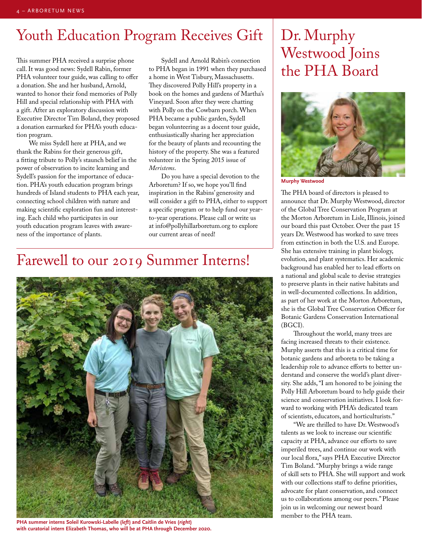## Youth Education Program Receives Gift | Dr. Murphy

This summer PHA received a surprise phone call. It was good news: Sydell Rabin, former PHA volunteer tour guide, was calling to offer a donation. She and her husband, Arnold, wanted to honor their fond memories of Polly Hill and special relationship with PHA with a gift. After an exploratory discussion with Executive Director Tim Boland, they proposed a donation earmarked for PHA's youth education program.

We miss Sydell here at PHA, and we thank the Rabins for their generous gift, a fitting tribute to Polly's staunch belief in the power of observation to incite learning and Sydell's passion for the importance of education. PHA's youth education program brings hundreds of Island students to PHA each year, connecting school children with nature and making scientific exploration fun and interesting. Each child who participates in our youth education program leaves with awareness of the importance of plants.

Sydell and Arnold Rabin's connection to PHA began in 1991 when they purchased a home in West Tisbury, Massachusetts. They discovered Polly Hill's property in a book on the homes and gardens of Martha's Vineyard. Soon after they were chatting with Polly on the Cowbarn porch. When PHA became a public garden, Sydell began volunteering as a docent tour guide, enthusiastically sharing her appreciation for the beauty of plants and recounting the history of the property. She was a featured volunteer in the Spring 2015 issue of *Meristems*.

Do you have a special devotion to the Arboretum? If so, we hope you'll find inspiration in the Rabins' generosity and will consider a gift to PHA, either to support a specific program or to help fund our yearto-year operations. Please call or write us at info@pollyhillarboretum.org to explore our current areas of need!

### Farewell to our 2019 Summer Interns!



**PHA summer interns Soleil Kurowski-Labelle (***left***) and Caitlin de Vries (***right***) with curatorial intern Elizabeth Thomas, who will be at PHA through December 2020.**

# Westwood Joins the PHA Board



**Murphy Westwood**

The PHA board of directors is pleased to announce that Dr. Murphy Westwood, director of the Global Tree Conservation Program at the Morton Arboretum in Lisle, Illinois, joined our board this past October. Over the past 15 years Dr. Westwood has worked to save trees from extinction in both the U.S. and Europe. She has extensive training in plant biology, evolution, and plant systematics. Her academic background has enabled her to lead efforts on a national and global scale to devise strategies to preserve plants in their native habitats and in well-documented collections. In addition, as part of her work at the Morton Arboretum, she is the Global Tree Conservation Officer for Botanic Gardens Conservation International (BGCI).

Throughout the world, many trees are facing increased threats to their existence. Murphy asserts that this is a critical time for botanic gardens and arboreta to be taking a leadership role to advance efforts to better understand and conserve the world's plant diversity. She adds, "I am honored to be joining the Polly Hill Arboretum board to help guide their science and conservation initiatives. I look forward to working with PHA's dedicated team of scientists, educators, and horticulturists."

"We are thrilled to have Dr. Westwood's talents as we look to increase our scientific capacity at PHA, advance our efforts to save imperiled trees, and continue our work with our local flora," says PHA Executive Director Tim Boland. "Murphy brings a wide range of skill sets to PHA. She will support and work with our collections staff to define priorities, advocate for plant conservation, and connect us to collaborations among our peers." Please join us in welcoming our newest board member to the PHA team.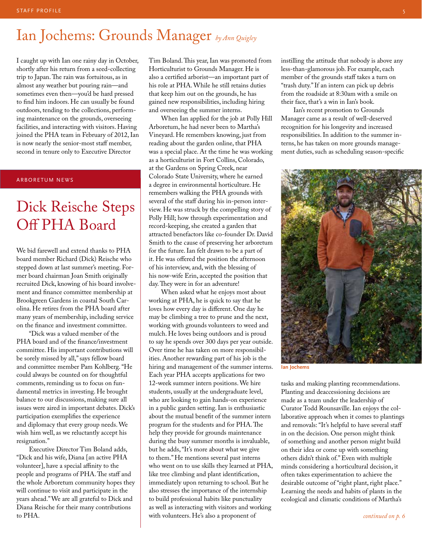### Ian Jochems: Grounds Manager *by Ann Quigley*

I caught up with Ian one rainy day in October, shortly after his return from a seed-collecting trip to Japan. The rain was fortuitous, as in almost any weather but pouring rain—and sometimes even then—you'd be hard pressed to find him indoors. He can usually be found outdoors, tending to the collections, performing maintenance on the grounds, overseeing facilities, and interacting with visitors. Having joined the PHA team in February of 2012, Ian is now nearly the senior-most staff member, second in tenure only to Executive Director

#### ARBORETUM NEWS

### Dick Reische Steps Off PHA Board

We bid farewell and extend thanks to PHA board member Richard (Dick) Reische who stepped down at last summer's meeting. Former board chairman Joan Smith originally recruited Dick, knowing of his board involvement and finance committee membership at Brookgreen Gardens in coastal South Carolina. He retires from the PHA board after many years of membership, including service on the finance and investment committee.

"Dick was a valued member of the PHA board and of the finance/investment committee. His important contributions will be sorely missed by all," says fellow board and committee member Pam Kohlberg. "He could always be counted on for thoughtful comments, reminding us to focus on fundamental metrics in investing. He brought balance to our discussions, making sure all issues were aired in important debates. Dick's participation exemplifies the experience and diplomacy that every group needs. We wish him well, as we reluctantly accept his resignation."

Executive Director Tim Boland adds, "Dick and his wife, Diana [an active PHA volunteer], have a special affinity to the people and programs of PHA. The staff and the whole Arboretum community hopes they will continue to visit and participate in the years ahead." We are all grateful to Dick and Diana Reische for their many contributions to PHA.

Tim Boland. This year, Ian was promoted from Horticulturist to Grounds Manager. He is also a certified arborist—an important part of his role at PHA. While he still retains duties that keep him out on the grounds, he has gained new responsibilities, including hiring and overseeing the summer interns.

When Ian applied for the job at Polly Hill Arboretum, he had never been to Martha's Vineyard. He remembers knowing, just from reading about the garden online, that PHA was a special place. At the time he was working as a horticulturist in Fort Collins, Colorado, at the Gardens on Spring Creek, near Colorado State University, where he earned a degree in environmental horticulture. He remembers walking the PHA grounds with several of the staff during his in-person interview. He was struck by the compelling story of Polly Hill; how through experimentation and record-keeping, she created a garden that attracted benefactors like co-founder Dr. David Smith to the cause of preserving her arboretum for the future. Ian felt drawn to be a part of it. He was offered the position the afternoon of his interview, and, with the blessing of his now-wife Erin, accepted the position that day. They were in for an adventure!

When asked what he enjoys most about working at PHA, he is quick to say that he loves how every day is different. One day he may be climbing a tree to prune and the next, working with grounds volunteers to weed and mulch. He loves being outdoors and is proud to say he spends over 300 days per year outside. Over time he has taken on more responsibilities. Another rewarding part of his job is the hiring and management of the summer interns. Each year PHA accepts applications for two 12-week summer intern positions. We hire students, usually at the undergraduate level, who are looking to gain hands-on experience in a public garden setting. Ian is enthusiastic about the mutual benefit of the summer intern program for the students and for PHA. The help they provide for grounds maintenance during the busy summer months is invaluable, but he adds, "It's more about what we give to them." He mentions several past interns who went on to use skills they learned at PHA, like tree climbing and plant identification, immediately upon returning to school. But he also stresses the importance of the internship to build professional habits like punctuality as well as interacting with visitors and working with volunteers. He's also a proponent of

instilling the attitude that nobody is above any less-than-glamorous job. For example, each member of the grounds staff takes a turn on "trash duty." If an intern can pick up debris from the roadside at 8:30am with a smile on their face, that's a win in Ian's book.

Ian's recent promotion to Grounds Manager came as a result of well-deserved recognition for his longevity and increased responsibilities. In addition to the summer interns, he has taken on more grounds management duties, such as scheduling season-specific



**Ian Jochems**

tasks and making planting recommendations. Planting and deaccessioning decisions are made as a team under the leadership of Curator Todd Rounsaville. Ian enjoys the collaborative approach when it comes to plantings and removals: "It's helpful to have several staff in on the decision. One person might think of something and another person might build on their idea or come up with something others didn't think of." Even with multiple minds considering a horticultural decision, it often takes experimentation to achieve the desirable outcome of "right plant, right place." Learning the needs and habits of plants in the ecological and climatic conditions of Martha's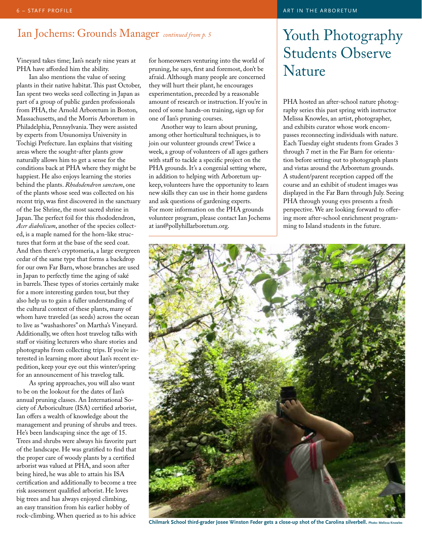### Ian Jochems: Grounds Manager *continued from p. 5*

Vineyard takes time; Ian's nearly nine years at PHA have afforded him the ability.

Ian also mentions the value of seeing plants in their native habitat. This past October, Ian spent two weeks seed collecting in Japan as part of a group of public garden professionals from PHA, the Arnold Arboretum in Boston, Massachusetts, and the Morris Arboretum in Philadelphia, Pennsylvania. They were assisted by experts from Utsunomiya University in Tochigi Prefecture. Ian explains that visiting areas where the sought-after plants grow naturally allows him to get a sense for the conditions back at PHA where they might be happiest. He also enjoys learning the stories behind the plants. *Rhododendron sanctum*, one of the plants whose seed was collected on his recent trip, was first discovered in the sanctuary of the Ise Shrine, the most sacred shrine in Japan. The perfect foil for this rhododendron, *Acer diabolicum*, another of the species collected, is a maple named for the horn-like structures that form at the base of the seed coat. And then there's cryptomeria, a large evergreen cedar of the same type that forms a backdrop for our own Far Barn, whose branches are used in Japan to perfectly time the aging of saké in barrels. These types of stories certainly make for a more interesting garden tour, but they also help us to gain a fuller understanding of the cultural context of these plants, many of whom have traveled (as seeds) across the ocean to live as "washashores" on Martha's Vineyard. Additionally, we often host travelog talks with staff or visiting lecturers who share stories and photographs from collecting trips. If you're interested in learning more about Ian's recent expedition, keep your eye out this winter/spring for an announcement of his travelog talk.

As spring approaches, you will also want to be on the lookout for the dates of Ian's annual pruning classes. An International Society of Arboriculture (ISA) certified arborist, Ian offers a wealth of knowledge about the management and pruning of shrubs and trees. He's been landscaping since the age of 15. Trees and shrubs were always his favorite part of the landscape. He was gratified to find that the proper care of woody plants by a certified arborist was valued at PHA, and soon after being hired, he was able to attain his ISA certification and additionally to become a tree risk assessment qualified arborist. He loves big trees and has always enjoyed climbing, an easy transition from his earlier hobby of rock-climbing. When queried as to his advice

for homeowners venturing into the world of pruning, he says, first and foremost, don't be afraid. Although many people are concerned they will hurt their plant, he encourages experimentation, preceded by a reasonable amount of research or instruction. If you're in need of some hands-on training, sign up for one of Ian's pruning courses.

Another way to learn about pruning, among other horticultural techniques, is to join our volunteer grounds crew! Twice a week, a group of volunteers of all ages gathers with staff to tackle a specific project on the PHA grounds. It's a congenial setting where, in addition to helping with Arboretum upkeep, volunteers have the opportunity to learn new skills they can use in their home gardens and ask questions of gardening experts. For more information on the PHA grounds volunteer program, please contact Ian Jochems at ian@pollyhillarboretum.org.

#### ART IN THE ARBORETUM

### Youth Photography Students Observe Nature

PHA hosted an after-school nature photography series this past spring with instructor Melissa Knowles, an artist, photographer, and exhibits curator whose work encompasses reconnecting individuals with nature. Each Tuesday eight students from Grades 3 through 7 met in the Far Barn for orientation before setting out to photograph plants and vistas around the Arboretum grounds. A student/parent reception capped off the course and an exhibit of student images was displayed in the Far Barn through July. Seeing PHA through young eyes presents a fresh perspective. We are looking forward to offering more after-school enrichment programming to Island students in the future.



**Chilmark School third-grader Josee Winston Feder gets a close-up shot of the Carolina silverbell. Photo: Melissa Knowles**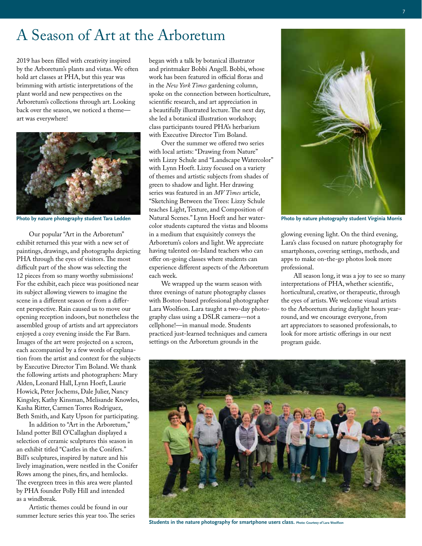### A Season of Art at the Arboretum

2019 has been filled with creativity inspired by the Arboretum's plants and vistas. We often hold art classes at PHA, but this year was brimming with artistic interpretations of the plant world and new perspectives on the Arboretum's collections through art. Looking back over the season, we noticed a theme art was everywhere!



Our popular "Art in the Arboretum" exhibit returned this year with a new set of paintings, drawings, and photographs depicting PHA through the eyes of visitors. The most difficult part of the show was selecting the 12 pieces from so many worthy submissions! For the exhibit, each piece was positioned near its subject allowing viewers to imagine the scene in a different season or from a different perspective. Rain caused us to move our opening reception indoors, but nonetheless the assembled group of artists and art appreciators enjoyed a cozy evening inside the Far Barn. Images of the art were projected on a screen, each accompanied by a few words of explanation from the artist and context for the subjects by Executive Director Tim Boland. We thank the following artists and photographers: Mary Alden, Leonard Hall, Lynn Hoeft, Laurie Howick, Peter Jochems, Dale Julier, Nancy Kingsley, Kathy Kinsman, Melisande Knowles, Kasha Ritter, Carmen Torres Rodriguez, Beth Smith, and Katy Upson for participating.

In addition to "Art in the Arboretum," Island potter Bill O'Callaghan displayed a selection of ceramic sculptures this season in an exhibit titled "Castles in the Conifers." Bill's sculptures, inspired by nature and his lively imagination, were nestled in the Conifer Rows among the pines, firs, and hemlocks. The evergreen trees in this area were planted by PHA founder Polly Hill and intended as a windbreak.

Artistic themes could be found in our summer lecture series this year too. The series began with a talk by botanical illustrator and printmaker Bobbi Angell. Bobbi, whose work has been featured in official floras and in the *New York Times* gardening column, spoke on the connection between horticulture, scientific research, and art appreciation in a beautifully illustrated lecture. The next day, she led a botanical illustration workshop; class participants toured PHA's herbarium with Executive Director Tim Boland.

Over the summer we offered two series with local artists: "Drawing from Nature" with Lizzy Schule and "Landscape Watercolor" with Lynn Hoeft. Lizzy focused on a variety of themes and artistic subjects from shades of green to shadow and light. Her drawing series was featured in an *MV Times* article, "Sketching Between the Trees: Lizzy Schule teaches Light, Texture, and Composition of Natural Scenes." Lynn Hoeft and her watercolor students captured the vistas and blooms in a medium that exquisitely conveys the Arboretum's colors and light. We appreciate having talented on-Island teachers who can offer on-going classes where students can experience different aspects of the Arboretum each week. Photo by nature photography student Tara Ledden Natural Scenes." Lynn Hoeft and her water- Photo by nature photography student Virginia Morris

> We wrapped up the warm season with three evenings of nature photography classes with Boston-based professional photographer Lara Woolfson. Lara taught a two-day photography class using a DSLR camera—not a cellphone!—in manual mode. Students practiced just-learned techniques and camera settings on the Arboretum grounds in the



glowing evening light. On the third evening, Lara's class focused on nature photography for smartphones, covering settings, methods, and apps to make on-the-go photos look more professional.

All season long, it was a joy to see so many interpretations of PHA, whether scientific, horticultural, creative, or therapeutic, through the eyes of artists. We welcome visual artists to the Arboretum during daylight hours yearround, and we encourage everyone, from art appreciators to seasoned professionals, to look for more artistic offerings in our next program guide.



**Students in the nature photography for smartphone users class. Photo: Courtesy of Lara Woolfson**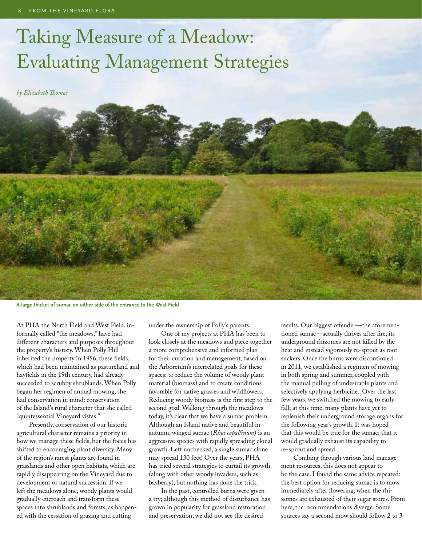## Taking Measure of a Meadow: Evaluating Management Strategies

*by Elizabeth Thomas*



**A large thicket of sumac on either side of the entrance to the West Field**

At PHA the North Field and West Field, informally called "the meadows," have had different characters and purposes throughout the property's history. When Polly Hill inherited the property in 1956, these fields, which had been maintained as pastureland and hayfields in the 19th century, had already succeeded to scrubby shrublands. When Polly began her regimen of annual mowing, she had conservation in mind: conservation of the Island's rural character that she called "quintessential Vineyard vistas."

Presently, conservation of our historic agricultural character remains a priority in how we manage these fields, but the focus has shifted to encouraging plant diversity. Many of the region's rarest plants are found in grasslands and other open habitats, which are rapidly disappearing on the Vineyard due to development or natural succession. If we left the meadows alone, woody plants would gradually encroach and transform these spaces into shrublands and forests, as happened with the cessation of grazing and cutting

under the ownership of Polly's parents.

One of my projects at PHA has been to look closely at the meadows and piece together a more comprehensive and informed plan for their curation and management, based on the Arboretum's interrelated goals for these spaces: to reduce the volume of woody plant material (biomass) and to create conditions favorable for native grasses and wildflowers. Reducing woody biomass is the first step to the second goal. Walking through the meadows today, it's clear that we have a sumac problem. Although an Island native and beautiful in autumn, winged sumac (*Rhus copallinum*) is an aggressive species with rapidly spreading clonal growth. Left unchecked, a single sumac clone may spread 130 feet! Over the years, PHA has tried several strategies to curtail its growth (along with other woody invaders, such as bayberry), but nothing has done the trick.

In the past, controlled burns were given a try; although this method of disturbance has grown in popularity for grassland restoration and preservation, we did not see the desired

results. Our biggest offender—the aforementioned sumac—actually thrives after fire; its underground rhizomes are not killed by the heat and instead vigorously re-sprout as root suckers. Once the burns were discontinued in 2011, we established a regimen of mowing in both spring and summer, coupled with the manual pulling of undesirable plants and selectively applying herbicide. Over the last few years, we switched the mowing to early fall; at this time, many plants have yet to replenish their underground storage organs for the following year's growth. It was hoped that this would be true for the sumac: that it would gradually exhaust its capability to re-sprout and spread.

Combing through various land management resources, this does not appear to be the case. I found the same advice repeated: the best option for reducing sumac is to mow immediately after flowering, when the rhizomes are exhausted of their sugar stores. From here, the recommendations diverge. Some sources say a second mow should follow 2 to 3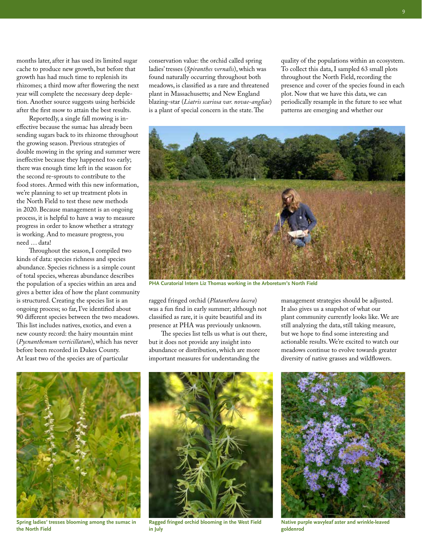months later, after it has used its limited sugar cache to produce new growth, but before that growth has had much time to replenish its rhizomes; a third mow after flowering the next year will complete the necessary deep depletion. Another source suggests using herbicide after the first mow to attain the best results.

Reportedly, a single fall mowing is ineffective because the sumac has already been sending sugars back to its rhizome throughout the growing season. Previous strategies of double mowing in the spring and summer were ineffective because they happened too early; there was enough time left in the season for the second re-sprouts to contribute to the food stores. Armed with this new information, we're planning to set up treatment plots in the North Field to test these new methods in 2020. Because management is an ongoing process, it is helpful to have a way to measure progress in order to know whether a strategy is working. And to measure progress, you need … data!

Throughout the season, I compiled two kinds of data: species richness and species abundance. Species richness is a simple count of total species, whereas abundance describes the population of a species within an area and gives a better idea of how the plant community is structured. Creating the species list is an ongoing process; so far, I've identified about 90 different species between the two meadows. This list includes natives, exotics, and even a new county record: the hairy mountain mint (*Pycnanthemum verticillatum*), which has never before been recorded in Dukes County. At least two of the species are of particular

conservation value: the orchid called spring ladies' tresses (*Spiranthes vernalis*), which was found naturally occurring throughout both meadows, is classified as a rare and threatened plant in Massachusetts; and New England blazing-star (*Liatris scariosa var. novae-angliae*) is a plant of special concern in the state. The

quality of the populations within an ecosystem. To collect this data, I sampled 63 small plots throughout the North Field, recording the presence and cover of the species found in each plot. Now that we have this data, we can periodically resample in the future to see what patterns are emerging and whether our



**PHA Curatorial Intern Liz Thomas working in the Arboretum's North Field**

ragged fringed orchid (*Platanthera lacera*) was a fun find in early summer; although not classified as rare, it is quite beautiful and its presence at PHA was previously unknown.

The species list tells us what is out there, but it does not provide any insight into abundance or distribution, which are more important measures for understanding the

management strategies should be adjusted. It also gives us a snapshot of what our plant community currently looks like. We are still analyzing the data, still taking measure, but we hope to find some interesting and actionable results. We're excited to watch our meadows continue to evolve towards greater diversity of native grasses and wildflowers.



**Spring ladies' tresses blooming among the sumac in the North Field**



**Ragged fringed orchid blooming in the West Field in July** 



**Native purple wavyleaf aster and wrinkle-leaved goldenrod**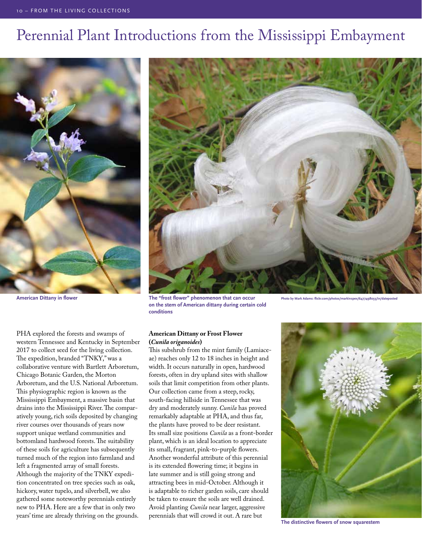### Perennial Plant Introductions from the Mississippi Embayment



**American Dittany in flower**

PHA explored the forests and swamps of western Tennessee and Kentucky in September 2017 to collect seed for the living collection. The expedition, branded "TNKY," was a collaborative venture with Bartlett Arboretum, Chicago Botanic Garden, the Morton Arboretum, and the U.S. National Arboretum. This physiographic region is known as the Mississippi Embayment, a massive basin that drains into the Mississippi River. The comparatively young, rich soils deposited by changing river courses over thousands of years now support unique wetland communities and bottomland hardwood forests. The suitability of these soils for agriculture has subsequently turned much of the region into farmland and left a fragmented array of small forests. Although the majority of the TNKY expedition concentrated on tree species such as oak, hickory, water tupelo, and silverbell, we also gathered some noteworthy perennials entirely new to PHA. Here are a few that in only two years' time are already thriving on the grounds.



**The "frost flower" phenomenon that can occur on the stem of American dittany during certain cold conditions**

#### **American Dittany or Frost Flower (***Cunila origanoides***)**

This subshrub from the mint family (Lamiaceae) reaches only 12 to 18 inches in height and width. It occurs naturally in open, hardwood forests, often in dry upland sites with shallow soils that limit competition from other plants. Our collection came from a steep, rocky, south-facing hillside in Tennessee that was dry and moderately sunny. *Cunila* has proved remarkably adaptable at PHA, and thus far, the plants have proved to be deer resistant. Its small size positions *Cunila* as a front-border plant, which is an ideal location to appreciate its small, fragrant, pink-to-purple flowers. Another wonderful attribute of this perennial is its extended flowering time; it begins in late summer and is still going strong and attracting bees in mid-October. Although it is adaptable to richer garden soils, care should be taken to ensure the soils are well drained. Avoid planting *Cunila* near larger, aggressive perennials that will crowd it out. A rare but



**The distinctive flowers of snow squarestem**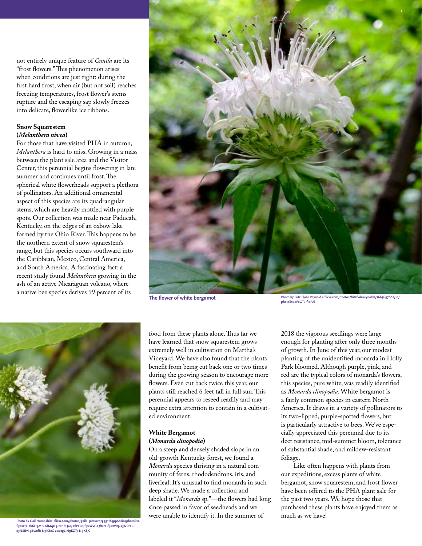not entirely unique feature of *Cunila* are its "frost flowers." This phenomenon arises when conditions are just right: during the first hard frost, when air (but not soil) reaches freezing temperatures, frost flower's stems rupture and the escaping sap slowly freezes into delicate, flowerlike ice ribbons.

### **Snow Squarestem**

#### **(***Melanthera nivea***)**

For those that have visited PHA in autumn, *Melanthera* is hard to miss. Growing in a mass between the plant sale area and the Visitor Center, this perennial begins flowering in late summer and continues until frost. The spherical white flowerheads support a plethora of pollinators. An additional ornamental aspect of this species are its quadrangular stems, which are heavily mottled with purple spots. Our collection was made near Paducah, Kentucky, on the edges of an oxbow lake formed by the Ohio River. This happens to be the northern extent of snow squarestem's range, but this species occurs southward into the Caribbean, Mexico, Central America, and South America. A fascinating fact: a recent study found *Melanthera* growing in the ash of an active Nicaraguan volcano, where a native bee species derives 99 percent of its





**Photo by Gail Hampshire: flickr.com/photos/gails\_pictures/39911839960/in/photolistf4wWJE-2h6H9MB-2dMq1L5-2chZQoq-2fiPEuq-f4wWxC-QftczL-f4wWR9-23NSzEu-23NSBvJ-9BwofR-N9KZzC-2wvzgL-N9KZTy-N9KZjC**

food from these plants alone. Thus far we have learned that snow squarestem grows extremely well in cultivation on Martha's Vineyard. We have also found that the plants benefit from being cut back one or two times during the growing season to encourage more flowers. Even cut back twice this year, our plants still reached 6 feet tall in full sun. This perennial appears to reseed readily and may require extra attention to contain in a cultivated environment.

#### **White Bergamot (***Monarda clinopodia***)**

On a steep and densely shaded slope in an old-growth Kentucky forest, we found a *Monarda* species thriving in a natural community of ferns, rhododendrons, iris, and liverleaf. It's unusual to find monarda in such deep shade. We made a collection and labeled it "*Monarda* sp."—the flowers had long since passed in favor of seedheads and we were unable to identify it. In the summer of

**The flower of white bergamot Photo by Fritz Flohr Reynolds: flickr.com/photos/fritzflohrreynolds/7665697802/in/ photolist-cFoGTu-f1xPAi**

2018 the vigorous seedlings were large enough for planting after only three months of growth. In June of this year, our modest planting of the unidentified monarda in Holly Park bloomed. Although purple, pink, and red are the typical colors of monarda's flowers, this species, pure white, was readily identified as *Monarda clinopodia*. White bergamot is a fairly common species in eastern North America. It draws in a variety of pollinators to its two-lipped, purple-spotted flowers, but is particularly attractive to bees. We've especially appreciated this perennial due to its deer resistance, mid-summer bloom, tolerance of substantial shade, and mildew-resistant foliage.

Like often happens with plants from our expeditions, excess plants of white bergamot, snow squarestem, and frost flower have been offered to the PHA plant sale for the past two years. We hope those that purchased these plants have enjoyed them as much as we have!